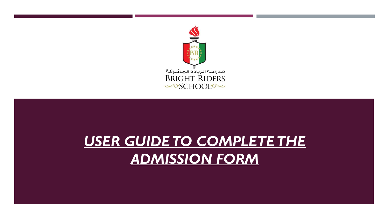

## *USER GUIDETO COMPLETETHE ADMISSION FORM*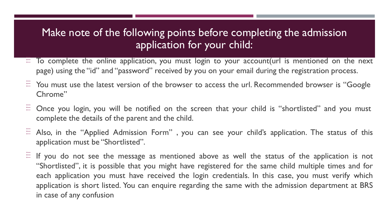## Make note of the following points before completing the admission application for your child:

- $\Xi$  To complete the online application, you must login to your account(url is mentioned on the next page) using the "id" and "password" received by you on your email during the registration process.
- $\overline{E}$  You must use the latest version of the browser to access the url. Recommended browser is "Google Chrome"
- $\Xi$  Once you login, you will be notified on the screen that your child is "shortlisted" and you must complete the details of the parent and the child.
- $\Xi$  Also, in the "Applied Admission Form", you can see your child's application. The status of this application must be "Shortlisted".
- $\Xi$  If you do not see the message as mentioned above as well the status of the application is not "Shortlisted", it is possible that you might have registered for the same child multiple times and for each application you must have received the login credentials. In this case, you must verify which application is short listed. You can enquire regarding the same with the admission department at BRS in case of any confusion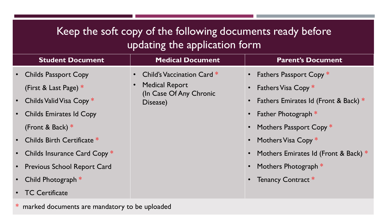## Keep the soft copy of the following documents ready before updating the application form

| <b>Student Document</b>        | <b>Medical Document</b>                                                   | <b>Parent's Document</b>                 |                                          |  |
|--------------------------------|---------------------------------------------------------------------------|------------------------------------------|------------------------------------------|--|
| • Childs Passport Copy         | • Child's Vaccination Card $*$                                            | • Fathers Passport Copy *                |                                          |  |
| (First & Last Page) $*$        | <b>Medical Report</b><br>$\bullet$<br>(In Case Of Any Chronic<br>Disease) |                                          | • Fathers Visa Copy $*$                  |  |
| • Childs Valid Visa Copy $*$   |                                                                           |                                          | • Fathers Emirates Id (Front & Back) $*$ |  |
| • Childs Emirates Id Copy      |                                                                           | • Father Photograph $*$                  |                                          |  |
| (Front & Back) $*$             |                                                                           | • Mothers Passport Copy *                |                                          |  |
| • Childs Birth Certificate *   |                                                                           | • Mothers Visa Copy *                    |                                          |  |
| • Childs Insurance Card Copy * |                                                                           | • Mothers Emirates Id (Front & Back) $*$ |                                          |  |
| • Previous School Report Card  |                                                                           | • Mothers Photograph $*$                 |                                          |  |
| Child Photograph $*$           |                                                                           | • Tenancy Contract *                     |                                          |  |
| • TC Certificate               |                                                                           |                                          |                                          |  |

\* marked documents are mandatory to be uploaded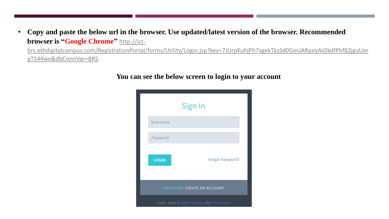• **Copy and paste the below url in the browser. Use updated/latest version of the browser. Recommended browser is "Google Chrome"** [http://ict-](http://ict-brs.ethdigitalcampus.com/RegistrationPortal/forms/Utility/Login.jsp?key=7JUrpKuhjPh7xgekTksSd05ieUARpeyAiOkdfPhf82jguUergT544we&dbConnVar=BRS)

brs.ethdigitalcampus.com/RegistrationPortal/forms/Utility/Login.jsp?key=7JUrpKuhjPh7xgekTksSd05ieUARpeyAiOkdfPhf82jguUer [gT544we&dbConnVar=BRS](http://ict-brs.ethdigitalcampus.com/RegistrationPortal/forms/Utility/Login.jsp?key=7JUrpKuhjPh7xgekTksSd05ieUARpeyAiOkdfPhf82jguUergT544we&dbConnVar=BRS)



**You can see the below screen to login to your account**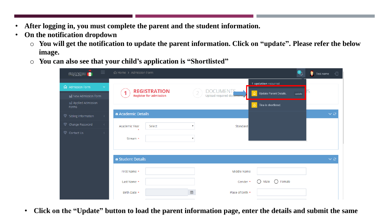- **After logging in, you must complete the parent and the student information.**
- **On the notification dropdown**
	- o **You will get the notification to update the parent information. Click on "update". Please refer the below image.**
	- o **You can also see that your child's application is "Shortlisted"**

| $\equiv$                                                           | 命 Home > Admission Form                                   |                                                                 |                                       | Test name<br>€       |
|--------------------------------------------------------------------|-----------------------------------------------------------|-----------------------------------------------------------------|---------------------------------------|----------------------|
|                                                                    |                                                           |                                                                 | 1 updation required                   |                      |
| <b>命</b> Admission Form<br>$\checkmark$<br>null New Admission Form | <b>REGISTRATION</b><br>1<br><b>Register for admission</b> | <b>DOCUMENTS</b><br>$\overline{2}$<br>Upload required documents | Update Parent Details.<br>А<br>update |                      |
| noll Applied Admission<br>Forms                                    |                                                           |                                                                 | Tina is shortlisted.<br>△             |                      |
| Sibling Information<br>≺                                           | a Academic Details                                        |                                                                 |                                       | $\vee$ $\mathcal{C}$ |
| Change Password<br>$\prec$                                         | Select<br>Academic Year                                   | $\boldsymbol{\mathrm{v}}$                                       | Standard                              |                      |
| Contact Us<br>$\left\langle \right\rangle$                         | Stream *                                                  | $\boldsymbol{\mathrm{v}}$                                       |                                       |                      |
|                                                                    | <b>*</b> Student Details                                  |                                                                 |                                       | $\vee$ 0             |
|                                                                    | First Name *                                              |                                                                 | Middle Name                           |                      |
|                                                                    | Last Name *                                               |                                                                 | ∩<br>∩<br>Female<br>Gender *<br>Male  |                      |
|                                                                    | Birth Date *                                              | ₩                                                               | Place of birth *                      |                      |

• **Click on the "Update" button to load the parent information page, enter the details and submit the same**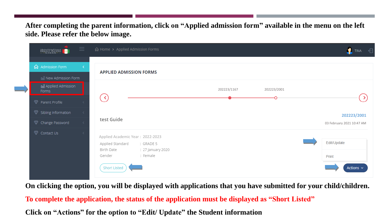**After completing the parent information, click on "Applied admission form" available in the menu on the left side. Please refer the below image.**

| $\equiv$<br>BRIGHT RIDERS                                  | d Home > Applied Admission Forms                                 | TINA                      |
|------------------------------------------------------------|------------------------------------------------------------------|---------------------------|
| <b>命</b> Admission Form<br>K.                              | <b>APPLIED ADMISSION FORMS</b>                                   |                           |
| noll New Admission Form<br>nall Applied Admission<br>Forms | 202223/1167<br>202223/2001                                       |                           |
| Parent Profile                                             | $\left\langle \right\rangle$                                     | $\rightarrow$             |
| Sibling Information<br>$\prec$                             | test Guide                                                       | 202223/2001               |
| Change Password<br>$\prec$<br>Contact Us                   | Applied Academic Year: 2022-2023                                 | 03 February 2021 10:47 AM |
|                                                            | Applied Standard<br>: GRADE 5<br>Birth Date<br>: 27 January 2020 | Edit/Update               |
|                                                            | : Female<br>Gender                                               | Print                     |
|                                                            | <b>Short Listed</b>                                              | Actions $\sim$            |

**On clicking the option, you will be displayed with applications that you have submitted for your child/children.**

**To complete the application, the status of the application must be displayed as "Short Listed"** 

**Click on "Actions" for the option to "Edit/ Update" the Student information**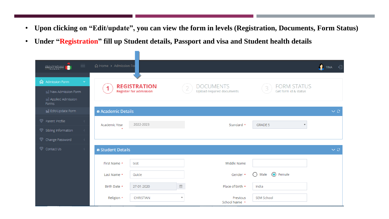- **Upon clicking on "Edit/update", you can view the form in levels (Registration, Documents, Form Status)**
- **Under "Registration" fill up Student details, Passport and visa and Student health details**

| $\equiv$<br>a مرسة الجامع المشرقة<br>BRIGHT RIDERS<br>CHOOL                                           | 命 Home > Admission For              |                                                      |                           |                                               |                                            | $\n  TINA\n\leftarrow$ |
|-------------------------------------------------------------------------------------------------------|-------------------------------------|------------------------------------------------------|---------------------------|-----------------------------------------------|--------------------------------------------|------------------------|
| <b>d</b> Admission Form<br>$\checkmark$<br>noll New Admission Form<br>nall Applied Admission<br>Forms |                                     | <b>REGISTRATION</b><br><b>Register for admission</b> |                           | <b>DOCUMENTS</b><br>Upload required documents | <b>FORM STATUS</b><br>Get form id & status |                        |
| nd Edit/Update Form                                                                                   | <b>*</b> Academic Details           |                                                      |                           |                                               |                                            | $\vee$ 0               |
| Parent Profile<br>$\hat{<}$<br>Sibling Information<br>$\prec$<br>$\langle$                            | Academic Year                       | 2022-2023                                            |                           | Standard *                                    | <b>GRADE 5</b>                             |                        |
| Change Password<br>Contact Us<br>$\langle$                                                            | <b><sup>n</sup></b> Student Details |                                                      |                           |                                               |                                            | $\vee$ 0               |
|                                                                                                       | First Name *                        | test                                                 |                           | Middle Name                                   |                                            |                        |
|                                                                                                       | Last Name *                         | Guide                                                |                           | Gender *                                      | ◯ Female<br>〔 〕<br>Male                    |                        |
|                                                                                                       | Birth Date *                        | 27-01-2020                                           | $\boxplus$                | Place of birth *                              | India                                      |                        |
|                                                                                                       | Religion *                          | CHRISTIAN                                            | $\boldsymbol{\mathrm{v}}$ | Previous<br>School Name *                     | <b>SEM School</b>                          |                        |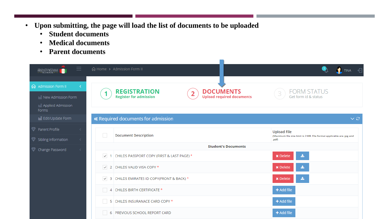- **Upon submitting, the page will load the list of documents to be uploaded**
	- **Student documents**
	- **Medical documents**
	- **Parent documents**

| 三<br>مەرسى <del>دالىيادە المىشىرقىد</del><br>BRIGHT RIDERS<br>CHOOL             |              | 命 Home > Admission Form II                             |                                                      | $\blacksquare$ TINA $\lhd$                                                                           |  |  |
|---------------------------------------------------------------------------------|--------------|--------------------------------------------------------|------------------------------------------------------|------------------------------------------------------------------------------------------------------|--|--|
| <b>命</b> Admission Form II<br>noll New Admission Form<br>noll Applied Admission | ≺            | <b>REGISTRATION</b><br><b>Register for admission</b>   | <b>DOCUMENTS</b><br><b>Upload required documents</b> | <b>FORM STATUS</b><br>Get form id & status                                                           |  |  |
| Forms<br>nall Edit/Update Form                                                  |              | <b>*</b> Required documents for admission              |                                                      | $\vee$ $\varnothing$                                                                                 |  |  |
| Parent Profile<br>Sibling Information                                           |              | <b>Document Description</b>                            |                                                      | <b>Upload File</b><br>(Maximum file size limit is 2 MB. File format applicable are .jpg and<br>.pdf) |  |  |
| Change Password                                                                 |              | <b>Student's Documents</b>                             |                                                      |                                                                                                      |  |  |
|                                                                                 | $\checkmark$ | CHILDS PASSPORT COPY (FIRST & LAST PAGE) *             |                                                      | <b>x</b> Delete                                                                                      |  |  |
|                                                                                 |              | $\vee$ 2 CHILDS VALID VISA COPY *                      |                                                      | <b>x</b> Delete                                                                                      |  |  |
|                                                                                 |              | $\checkmark$ 3 CHILDS EMIRATES ID COPY(FRONT & BACK) * |                                                      | 圡<br><b>x</b> Delete                                                                                 |  |  |
|                                                                                 |              | 4 CHILDS BIRTH CERTIFICATE *                           |                                                      | + Add file                                                                                           |  |  |
|                                                                                 |              | 5 CHILDS INSURANACE CARD COPY *                        |                                                      | + Add file                                                                                           |  |  |
|                                                                                 |              | <b>PREVIOUS SCHOOL REPORT CARD</b><br>-6               |                                                      | + Add file                                                                                           |  |  |